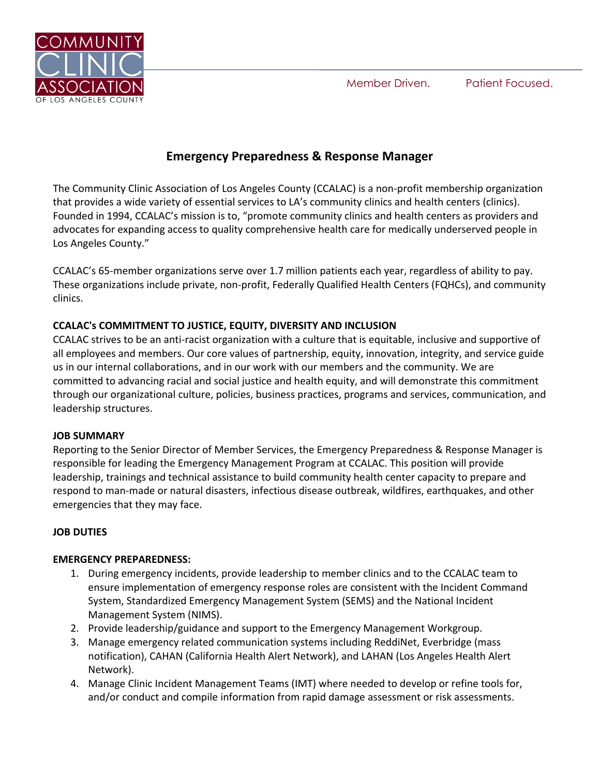Member Driven. Patient Focused.



# **Emergency Preparedness & Response Manager**

The Community Clinic Association of Los Angeles County (CCALAC) is a non-profit membership organization that provides a wide variety of essential services to LA's community clinics and health centers (clinics). Founded in 1994, CCALAC's mission is to, "promote community clinics and health centers as providers and advocates for expanding access to quality comprehensive health care for medically underserved people in Los Angeles County."

CCALAC's 65-member organizations serve over 1.7 million patients each year, regardless of ability to pay. These organizations include private, non-profit, Federally Qualified Health Centers (FQHCs), and community clinics.

# **CCALAC's COMMITMENT TO JUSTICE, EQUITY, DIVERSITY AND INCLUSION**

CCALAC strives to be an anti-racist organization with a culture that is equitable, inclusive and supportive of all employees and members. Our core values of partnership, equity, innovation, integrity, and service guide us in our internal collaborations, and in our work with our members and the community. We are committed to advancing racial and social justice and health equity, and will demonstrate this commitment through our organizational culture, policies, business practices, programs and services, communication, and leadership structures.

# **JOB SUMMARY**

Reporting to the Senior Director of Member Services, the Emergency Preparedness & Response Manager is responsible for leading the Emergency Management Program at CCALAC. This position will provide leadership, trainings and technical assistance to build community health center capacity to prepare and respond to man-made or natural disasters, infectious disease outbreak, wildfires, earthquakes, and other emergencies that they may face.

# **JOB DUTIES**

### **EMERGENCY PREPAREDNESS:**

- 1. During emergency incidents, provide leadership to member clinics and to the CCALAC team to ensure implementation of emergency response roles are consistent with the Incident Command System, Standardized Emergency Management System (SEMS) and the National Incident Management System (NIMS).
- 2. Provide leadership/guidance and support to the Emergency Management Workgroup.
- 3. Manage emergency related communication systems including ReddiNet, Everbridge (mass notification), CAHAN (California Health Alert Network), and LAHAN (Los Angeles Health Alert Network).
- 4. Manage Clinic Incident Management Teams (IMT) where needed to develop or refine tools for, and/or conduct and compile information from rapid damage assessment or risk assessments.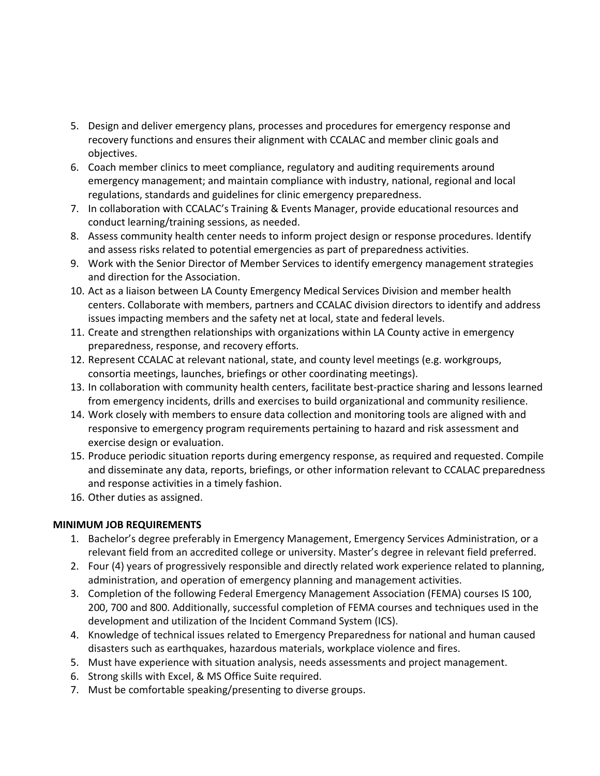- 5. Design and deliver emergency plans, processes and procedures for emergency response and recovery functions and ensures their alignment with CCALAC and member clinic goals and objectives.
- 6. Coach member clinics to meet compliance, regulatory and auditing requirements around emergency management; and maintain compliance with industry, national, regional and local regulations, standards and guidelines for clinic emergency preparedness.
- 7. In collaboration with CCALAC's Training & Events Manager, provide educational resources and conduct learning/training sessions, as needed.
- 8. Assess community health center needs to inform project design or response procedures. Identify and assess risks related to potential emergencies as part of preparedness activities.
- 9. Work with the Senior Director of Member Services to identify emergency management strategies and direction for the Association.
- 10. Act as a liaison between LA County Emergency Medical Services Division and member health centers. Collaborate with members, partners and CCALAC division directors to identify and address issues impacting members and the safety net at local, state and federal levels.
- 11. Create and strengthen relationships with organizations within LA County active in emergency preparedness, response, and recovery efforts.
- 12. Represent CCALAC at relevant national, state, and county level meetings (e.g. workgroups, consortia meetings, launches, briefings or other coordinating meetings).
- 13. In collaboration with community health centers, facilitate best-practice sharing and lessons learned from emergency incidents, drills and exercises to build organizational and community resilience.
- 14. Work closely with members to ensure data collection and monitoring tools are aligned with and responsive to emergency program requirements pertaining to hazard and risk assessment and exercise design or evaluation.
- 15. Produce periodic situation reports during emergency response, as required and requested. Compile and disseminate any data, reports, briefings, or other information relevant to CCALAC preparedness and response activities in a timely fashion.
- 16. Other duties as assigned.

# **MINIMUM JOB REQUIREMENTS**

- 1. Bachelor's degree preferably in Emergency Management, Emergency Services Administration, or a relevant field from an accredited college or university. Master's degree in relevant field preferred.
- 2. Four (4) years of progressively responsible and directly related work experience related to planning, administration, and operation of emergency planning and management activities.
- 3. Completion of the following Federal Emergency Management Association (FEMA) courses IS 100, 200, 700 and 800. Additionally, successful completion of FEMA courses and techniques used in the development and utilization of the Incident Command System (ICS).
- 4. Knowledge of technical issues related to Emergency Preparedness for national and human caused disasters such as earthquakes, hazardous materials, workplace violence and fires.
- 5. Must have experience with situation analysis, needs assessments and project management.
- 6. Strong skills with Excel, & MS Office Suite required.
- 7. Must be comfortable speaking/presenting to diverse groups.